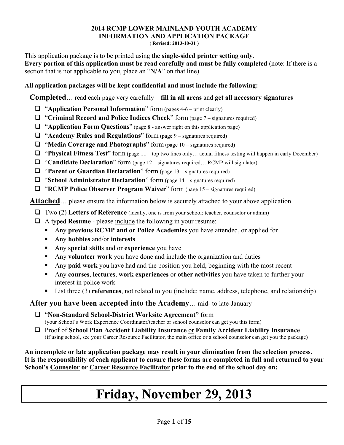## **2014 RCMP LOWER MAINLAND YOUTH ACADEMY INFORMATION AND APPLICATION PACKAGE**

**( Revised: 2013-10-31 )**

This application package is to be printed using the **single-sided printer setting only**. **Every portion of this application must be read carefully and must be fully completed** (note: If there is a section that is not applicable to you, place an "**N/A**" on that line)

#### **All application packages will be kept confidential and must include the following:**

**Completed**… read each page very carefully – **fill in all areas** and **get all necessary signatures**

- ! "**Application Personal Information**" form (pages 4-6 print clearly)
- ! "**Criminal Record and Police Indices Check**" form (page 7 signatures required)
- ! "**Application Form Questions**" (page 8 answer right on this application page)
- ! "**Academy Rules and Regulations**" form (page 9 signatures required)
- $\Box$  "Media Coverage and Photographs" form (page 10 signatures required)
- ! "**Physical Fitness Test**" form (page 11 top two lines only… actual fitness testing will happen in early December)
- □ "**Candidate Declaration**" form (page 12 signatures required... RCMP will sign later)
- ! "**Parent or Guardian Declaration**" form (page 13 signatures required)
- ! "**School Administrator Declaration**" form (page 14 signatures required)
- ! "**RCMP Police Observer Program Waiver**" form (page 15 signatures required)

Attached... please ensure the information below is securely attached to your above application

- ! Two (2) **Letters of Reference** (ideally, one is from your school: teacher, counselor or admin)
- ! A typed **Resume** please include the following in your resume:
	- " Any **previous RCMP and or Police Academies** you have attended, or applied for
	- " Any **hobbies** and/or **interests**
	- " Any **special skills** and or **experience** you have
	- " Any **volunteer work** you have done and include the organization and duties
	- " Any **paid work** you have had and the position you held, beginning with the most recent
	- " Any **courses**, **lectures**, **work experiences** or **other activities** you have taken to further your interest in police work
	- List three (3) **references**, not related to you (include: name, address, telephone, and relationship)

## **After you have been accepted into the Academy**… mid- to late-January

- ! "**Non-Standard School-District Worksite Agreement"** form (your School's Work Experience Coordinator/teacher or school counselor can get you this form)
- ! Proof of **School Plan Accident Liability Insurance** or **Family Accident Liability Insurance** (if using school, see your Career Resource Facilitator, the main office or a school counselor can get you the package)

**An incomplete or late application package may result in your elimination from the selection process. It is the responsibility of each applicant to ensure these forms are completed in full and returned to your School's Counselor or Career Resource Facilitator prior to the end of the school day on:** 

# **Friday, November 29, 2013**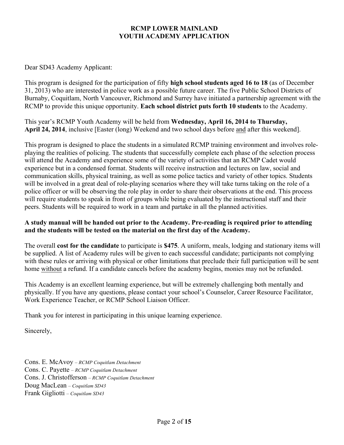#### **RCMP LOWER MAINLAND YOUTH ACADEMY APPLICATION**

Dear SD43 Academy Applicant:

This program is designed for the participation of fifty **high school students aged 16 to 18** (as of December 31, 2013) who are interested in police work as a possible future career. The five Public School Districts of Burnaby, Coquitlam, North Vancouver, Richmond and Surrey have initiated a partnership agreement with the RCMP to provide this unique opportunity. **Each school district puts forth 10 students** to the Academy.

This year's RCMP Youth Academy will be held from **Wednesday, April 16, 2014 to Thursday, April 24, 2014**, inclusive [Easter (long) Weekend and two school days before and after this weekend].

This program is designed to place the students in a simulated RCMP training environment and involves roleplaying the realities of policing. The students that successfully complete each phase of the selection process will attend the Academy and experience some of the variety of activities that an RCMP Cadet would experience but in a condensed format. Students will receive instruction and lectures on law, social and communication skills, physical training, as well as some police tactics and variety of other topics. Students will be involved in a great deal of role-playing scenarios where they will take turns taking on the role of a police officer or will be observing the role play in order to share their observations at the end. This process will require students to speak in front of groups while being evaluated by the instructional staff and their peers. Students will be required to work in a team and partake in all the planned activities.

#### **A study manual will be handed out prior to the Academy. Pre-reading is required prior to attending and the students will be tested on the material on the first day of the Academy.**

The overall **cost for the candidate** to participate is **\$475**. A uniform, meals, lodging and stationary items will be supplied. A list of Academy rules will be given to each successful candidate; participants not complying with these rules or arriving with physical or other limitations that preclude their full participation will be sent home without a refund. If a candidate cancels before the academy begins, monies may not be refunded.

This Academy is an excellent learning experience, but will be extremely challenging both mentally and physically. If you have any questions, please contact your school's Counselor, Career Resource Facilitator, Work Experience Teacher, or RCMP School Liaison Officer.

Thank you for interest in participating in this unique learning experience.

Sincerely,

Cons. E. McAvoy *– RCMP Coquitlam Detachment* Cons. C. Payette *– RCMP Coquitlam Detachment* Cons. J. Christofferson *– RCMP Coquitlam Detachment* Doug MacLean *– Coquitlam SD43* Frank Gigliotti *– Coquitlam SD43*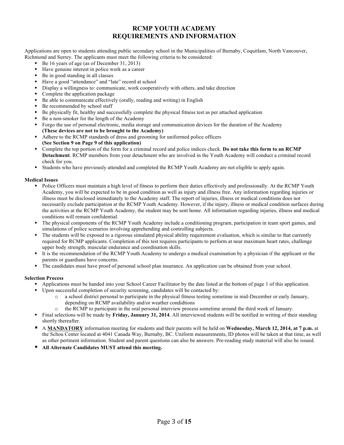#### **RCMP YOUTH ACADEMY REQUIREMENTS AND INFORMATION**

Applications are open to students attending public secondary school in the Municipalities of Burnaby, Coquitlam, North Vancouver, Richmond and Surrey. The applicants must meet the following criteria to be considered:

- " Be 16 years of age (as of December 31, 2013)
- " Have genuine interest in police work as a career
- " Be in good standing in all classes
- " Have a good "attendance" and "late" record at school
- " Display a willingness to: communicate, work cooperatively with others, and take direction
- Complete the application package
- " Be able to communicate effectively (orally, reading and writing) in English
- Be recommended by school staff
- " Be physically fit, healthy and successfully complete the physical fitness test as per attached application
- Be a non-smoker for the length of the Academy
- " Forgo the use of personal electronic, media storage and communication devices for the duration of the Academy **(These devices are not to be brought to the Academy)**
- " Adhere to the RCMP standards of dress and grooming for uniformed police officers **(See Section 9 on Page 9 of this application)**
- " Complete the top portion of the form for a criminal record and police indices check. **Do not take this form to an RCMP Detachment**. RCMP members from your detachment who are involved in the Youth Academy will conduct a criminal record check for you.
- " Students who have previously attended and completed the RCMP Youth Academy are not eligible to apply again.

#### **Medical Issues**

- " Police Officers must maintain a high level of fitness to perform their duties effectively and professionally. At the RCMP Youth Academy, you will be expected to be in good condition as well as injury and illness free. Any information regarding injuries or illness must be disclosed immediately to the Academy staff. The report of injuries, illness or medical conditions does not necessarily exclude participation at the RCMP Youth Academy. However, if the injury, illness or medical condition surfaces during the activities at the RCMP Youth Academy, the student may be sent home. All information regarding injuries, illness and medical conditions will remain confidential.
- The physical components of the RCMP Youth Academy include a conditioning program, participation in team sport games, and simulations of police scenarios involving apprehending and controlling subjects.
- " The students will be exposed to a rigorous simulated physical ability requirement evaluation, which is similar to that currently required for RCMP applicants. Completion of this test requires participants to perform at near maximum heart rates, challenge upper body strength, muscular endurance and coordination skills.
- It is the recommendation of the RCMP Youth Academy to undergo a medical examination by a physician if the applicant or the parents or guardians have concerns.
- " The candidates must have proof of personal school plan insurance. An application can be obtained from your school.

#### **Selection Process**

- " Applications must be handed into your School Career Facilitator by the date listed at the bottom of page 1 of this application.
- " Upon successful completion of security screening, candidates will be contacted by:
	- a school district personal to participate in the physical fitness testing sometime in mid-December or early January, depending on RCMP availability and/or weather condidtions
	- the RCMP to participate in the oral personal interview process sometime around the third week of January.
- " Final selections will be made by **Friday, January 31, 2014**. All interviewed students will be notified in writing of their standing shortly thereafter.
- " A **MANDATORY** information meeting for students and their parents will be held on **Wednesday, March 12, 2014, at 7 p.m.** at the Schou Center located at 4041 Canada Way, Burnaby, BC. Uniform measurements, ID photos will be taken at that time, as well as other pertinent information. Student and parent questions can also be answers. Pre-reading study material will also be issued.
- " **All Alternate Candidates MUST attend this meeting.**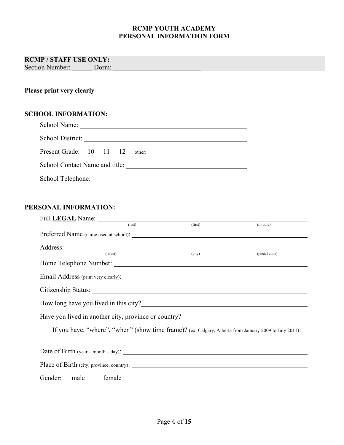#### **RCMP YOUTH ACADEMY PERSONAL INFORMATION FORM**

## **RCMP / STAFF USE ONLY:**

Section Number: \_\_\_\_\_\_\_ Dorm:

## **Please print very clearly**

#### **SCHOOL INFORMATION:**

| School Name:                   |  |        |  |  |
|--------------------------------|--|--------|--|--|
| School District:               |  |        |  |  |
| Present Grade: 10 11 12        |  | other: |  |  |
| School Contact Name and title: |  |        |  |  |
| School Telephone:              |  |        |  |  |

#### **PERSONAL INFORMATION:**

|                     | Full LEGAL Name: (last) (first) (first)                                                         | (middle)                                                                                                                                                                                                                               |
|---------------------|-------------------------------------------------------------------------------------------------|----------------------------------------------------------------------------------------------------------------------------------------------------------------------------------------------------------------------------------------|
|                     |                                                                                                 |                                                                                                                                                                                                                                        |
|                     | Address: <u>(street)</u> (street) (city)                                                        |                                                                                                                                                                                                                                        |
|                     |                                                                                                 | (postal code)                                                                                                                                                                                                                          |
|                     |                                                                                                 |                                                                                                                                                                                                                                        |
|                     |                                                                                                 |                                                                                                                                                                                                                                        |
|                     |                                                                                                 |                                                                                                                                                                                                                                        |
|                     |                                                                                                 |                                                                                                                                                                                                                                        |
|                     |                                                                                                 | Have you lived in another city, province or country?<br><u>Letter and the substantial of the substantial of the substantial of the substantial of the substantial of the substantial of the substantial of the substantial of the </u> |
|                     |                                                                                                 | If you have, "where", "when" (show time frame)? (ex: Calgary, Alberta from January 2009 to July 2011):                                                                                                                                 |
|                     | Date of Birth $(year - month - day)$ :                                                          |                                                                                                                                                                                                                                        |
|                     | Place of Birth (city, province, country). 2014. The control of Birth (city, province, country). |                                                                                                                                                                                                                                        |
| Gender: male female |                                                                                                 |                                                                                                                                                                                                                                        |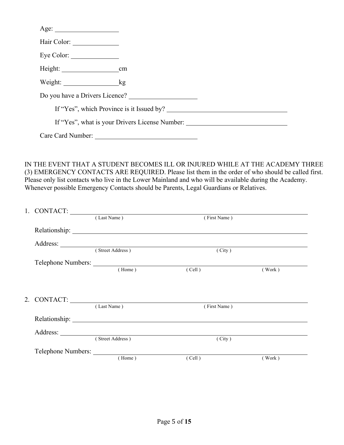| Hair Color:       |                                                |
|-------------------|------------------------------------------------|
| Eye Color:        |                                                |
|                   |                                                |
| Weight: kg        |                                                |
|                   |                                                |
|                   |                                                |
|                   | If "Yes", what is your Drivers License Number: |
| Care Card Number: |                                                |

IN THE EVENT THAT A STUDENT BECOMES ILL OR INJURED WHILE AT THE ACADEMY THREE (3) EMERGENCY CONTACTS ARE REQUIRED. Please list them in the order of who should be called first. Please only list contacts who live in the Lower Mainland and who will be available during the Academy. Whenever possible Emergency Contacts should be Parents, Legal Guardians or Relatives.

|  | 1. CONTACT:                               |              |        |  |
|--|-------------------------------------------|--------------|--------|--|
|  | (Last Name)                               | (First Name) |        |  |
|  |                                           |              |        |  |
|  |                                           |              |        |  |
|  | Address: <u>Contract (Street Address)</u> | (City)       |        |  |
|  | Telephone Numbers:                        |              |        |  |
|  | (Home)                                    | (Cell)       | (Work) |  |
|  |                                           |              |        |  |
|  |                                           |              |        |  |
|  | 2. CONTACT:                               |              |        |  |
|  | (Last Name)                               | (First Name) |        |  |
|  |                                           |              |        |  |
|  |                                           |              |        |  |
|  | (Street Address)                          | (City)       |        |  |
|  |                                           |              |        |  |
|  | (Home)                                    | (Cell)       | (Work) |  |
|  |                                           |              |        |  |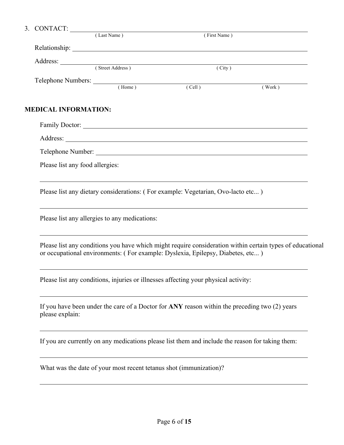|                             | 3. CONTACT: (Last Name)          | (First Name)                                                                                                                                                                                                                                                                    |        |
|-----------------------------|----------------------------------|---------------------------------------------------------------------------------------------------------------------------------------------------------------------------------------------------------------------------------------------------------------------------------|--------|
|                             |                                  |                                                                                                                                                                                                                                                                                 |        |
|                             |                                  |                                                                                                                                                                                                                                                                                 |        |
|                             | Address: <u>Contract Address</u> | (City)                                                                                                                                                                                                                                                                          |        |
|                             |                                  | Telephone Numbers: (Home) (Cell)                                                                                                                                                                                                                                                | (Work) |
| <b>MEDICAL INFORMATION:</b> |                                  |                                                                                                                                                                                                                                                                                 |        |
|                             |                                  |                                                                                                                                                                                                                                                                                 |        |
|                             |                                  |                                                                                                                                                                                                                                                                                 |        |
|                             |                                  |                                                                                                                                                                                                                                                                                 |        |
|                             | Please list any food allergies:  |                                                                                                                                                                                                                                                                                 |        |
|                             |                                  | ,我们也不会有一个人的人,我们也不会有一个人的人,我们也不会有一个人的人,我们也不会有一个人的人。""我们的人,我们也不会有一个人的人,我们也不会有一个人的人,<br>Please list any conditions you have which might require consideration within certain types of educational<br>or occupational environments: (For example: Dyslexia, Epilepsy, Diabetes, etc) |        |
|                             |                                  | Please list any conditions, injuries or illnesses affecting your physical activity:                                                                                                                                                                                             |        |
| please explain:             |                                  | If you have been under the care of a Doctor for ANY reason within the preceding two (2) years                                                                                                                                                                                   |        |
|                             |                                  | If you are currently on any medications please list them and include the reason for taking them:                                                                                                                                                                                |        |
|                             |                                  |                                                                                                                                                                                                                                                                                 |        |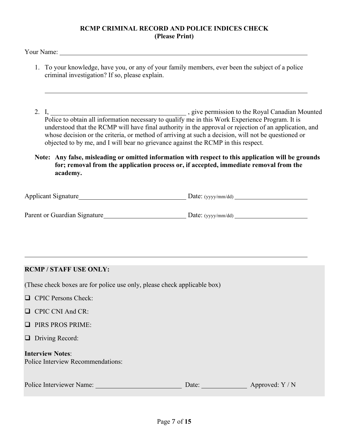#### **RCMP CRIMINAL RECORD AND POLICE INDICES CHECK (Please Print)**

Your Name:

- 1. To your knowledge, have you, or any of your family members, ever been the subject of a police criminal investigation? If so, please explain.
- 2. I, 1. 1. 2. I, 2. External property and the Royal Canadian Mounted by the Royal Canadian Mounted Police to obtain all information necessary to qualify me in this Work Experience Program. It is understood that the RCMP will have final authority in the approval or rejection of an application, and whose decision or the criteria, or method of arriving at such a decision, will not be questioned or objected to by me, and I will bear no grievance against the RCMP in this respect.

#### **Note: Any false, misleading or omitted information with respect to this application will be grounds for; removal from the application process or, if accepted, immediate removal from the academy.**

| <b>Applicant Signature</b>   | Date: $(yyy/mm/dd)$  |
|------------------------------|----------------------|
|                              |                      |
| Parent or Guardian Signature | Date: $(yyyy/mm/dd)$ |

## **RCMP / STAFF USE ONLY:**

(These check boxes are for police use only, please check applicable box)

- $\Box$  CPIC Persons Check:
- **Q** CPIC CNI And CR:
- **I.** PIRS PROS PRIME:
- $\Box$  Driving Record:

| <b>Interview Notes:</b>                  |
|------------------------------------------|
| <b>Police Interview Recommendations:</b> |

| Police Interviewer Name: | Date: | Approved: Y / N |
|--------------------------|-------|-----------------|
|--------------------------|-------|-----------------|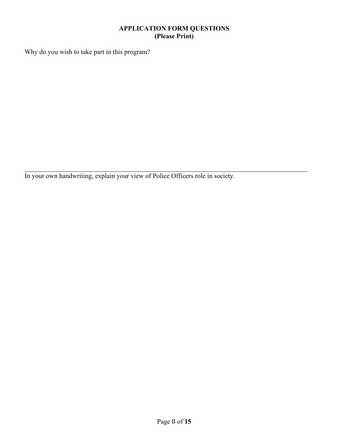#### **APPLICATION FORM QUESTIONS (Please Print)**

Why do you wish to take part in this program?

In your own handwriting, explain your view of Police Officers role in society.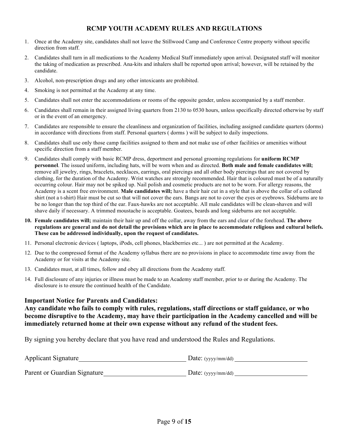#### **RCMP YOUTH ACADEMY RULES AND REGULATIONS**

- 1. Once at the Academy site, candidates shall not leave the Stillwood Camp and Conference Centre property without specific direction from staff.
- 2. Candidates shall turn in all medications to the Academy Medical Staff immediately upon arrival. Designated staff will monitor the taking of medication as prescribed. Ana-kits and inhalers shall be reported upon arrival; however, will be retained by the candidate.
- 3. Alcohol, non-prescription drugs and any other intoxicants are prohibited.
- 4. Smoking is not permitted at the Academy at any time.
- 5. Candidates shall not enter the accommodations or rooms of the opposite gender, unless accompanied by a staff member.
- 6. Candidates shall remain in their assigned living quarters from 2130 to 0530 hours, unless specifically directed otherwise by staff or in the event of an emergency.
- 7. Candidates are responsible to ensure the cleanliness and organization of facilities, including assigned candidate quarters (dorms) in accordance with directions from staff. Personal quarters ( dorms ) will be subject to daily inspections.
- 8. Candidates shall use only those camp facilities assigned to them and not make use of other facilities or amenities without specific direction from a staff member.
- 9. Candidates shall comply with basic RCMP dress, deportment and personal grooming regulations for **uniform RCMP personnel**. The issued uniform, including hats, will be worn when and as directed. **Both male and female candidates will;**  remove all jewelry, rings, bracelets, necklaces, earrings, oral piercings and all other body piercings that are not covered by clothing, for the duration of the Academy. Wrist watches are strongly recommended. Hair that is coloured must be of a naturally occurring colour. Hair may not be spiked up. Nail polish and cosmetic products are not to be worn. For allergy reasons, the Academy is a scent free environment. **Male candidates will;** have a their hair cut in a style that is above the collar of a collared shirt (not a t-shirt) Hair must be cut so that will not cover the ears. Bangs are not to cover the eyes or eyebrows. Sideburns are to be no longer than the top third of the ear. Faux-hawks are not acceptable. All male candidates will be clean-shaven and will shave daily if necessary. A trimmed moustache is acceptable. Goatees, beards and long sideburns are not acceptable.
- **10. Female candidates will;** maintain their hair up and off the collar, away from the ears and clear of the forehead. **The above regulations are general and do not detail the provisions which are in place to accommodate religious and cultural beliefs. These can be addressed individually, upon the request of candidates.**
- 11. Personal electronic devices ( laptops, iPods, cell phones, blackberries etc... ) are not permitted at the Academy.
- 12. Due to the compressed format of the Academy syllabus there are no provisions in place to accommodate time away from the Academy or for visits at the Academy site.
- 13. Candidates must, at all times, follow and obey all directions from the Academy staff.
- 14. Full disclosure of any injuries or illness must be made to an Academy staff member, prior to or during the Academy. The disclosure is to ensure the continued health of the Candidate.

#### **Important Notice for Parents and Candidates:**

#### **Any candidate who fails to comply with rules, regulations, staff directions or staff guidance, or who become disruptive to the Academy, may have their participation in the Academy cancelled and will be immediately returned home at their own expense without any refund of the student fees.**

By signing you hereby declare that you have read and understood the Rules and Regulations.

| <b>Applicant Signature</b>   | Date: $(yyy/mm/dd)$ |
|------------------------------|---------------------|
| Parent or Guardian Signature | Date: $(yyy/mm/dd)$ |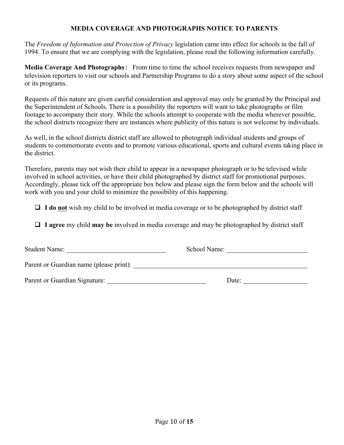#### **MEDIA COVERAGE AND PHOTOGRAPHS NOTICE TO PARENTS**

The *Freedom of Information and Protection of Privacy* legislation came into effect for schools in the fall of 1994. To ensure that we are complying with the legislation, please read the following information carefully.

**Media Coverage And Photographs:** From time to time the school receives requests from newspaper and television reporters to visit our schools and Partnership Programs to do a story about some aspect of the school or its programs.

Requests of this nature are given careful consideration and approval may only be granted by the Principal and the Superintendent of Schools. There is a possibility the reporters will want to take photographs or film footage to accompany their story. While the schools attempt to cooperate with the media wherever possible, the school districts recognize there are instances where publicity of this nature is not welcome by individuals.

As well, in the school districts district staff are allowed to photograph individual students and groups of students to commemorate events and to promote various educational, sports and cultural events taking place in the district.

Therefore, parents may not wish their child to appear in a newspaper photograph or to be televised while involved in school activities, or have their child photographed by district staff for promotional purposes. Accordingly, please tick off the appropriate box below and please sign the form below and the schools will work with you and your child to minimize the possibility of this happening.

! **I do not** wish my child to be involved in media coverage or to be photographed by district staff

! **I agree** my child **may be** involved in media coverage and may be photographed by district staff

| <b>Student Name:</b>                    | School Name: |
|-----------------------------------------|--------------|
| Parent or Guardian name (please print): |              |
| Parent or Guardian Signature:           | Date:        |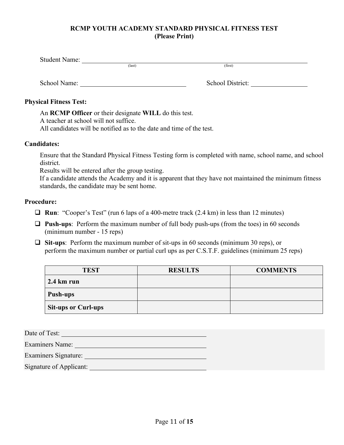### **RCMP YOUTH ACADEMY STANDARD PHYSICAL FITNESS TEST (Please Print)**

| <b>Student Name:</b> |                 |         |  |
|----------------------|-----------------|---------|--|
|                      | $\text{(last)}$ | (first) |  |
|                      |                 |         |  |

School Name: School District:

### **Physical Fitness Test:**

An **RCMP Officer** or their designate **WILL** do this test.

A teacher at school will not suffice.

All candidates will be notified as to the date and time of the test.

### **Candidates:**

Ensure that the Standard Physical Fitness Testing form is completed with name, school name, and school district.

Results will be entered after the group testing.

If a candidate attends the Academy and it is apparent that they have not maintained the minimum fitness standards, the candidate may be sent home.

#### **Procedure:**

- ! **Run**: "Cooper's Test" (run 6 laps of a 400-metre track (2.4 km) in less than 12 minutes)
- ! **Push-ups**: Perform the maximum number of full body push-ups (from the toes) in 60 seconds (minimum number - 15 reps)
- ! **Sit-ups**: Perform the maximum number of sit-ups in 60 seconds (minimum 30 reps), or perform the maximum number or partial curl ups as per C.S.T.F. guidelines (minimum 25 reps)

| <b>TEST</b>                    | <b>RESULTS</b> | <b>COMMENTS</b> |
|--------------------------------|----------------|-----------------|
| $2.4 \mathrm{km} \mathrm{run}$ |                |                 |
| Push-ups                       |                |                 |
| <b>Sit-ups or Curl-ups</b>     |                |                 |

| Date of Test:               |  |
|-----------------------------|--|
| <b>Examiners Name:</b>      |  |
| <b>Examiners Signature:</b> |  |
| Signature of Applicant:     |  |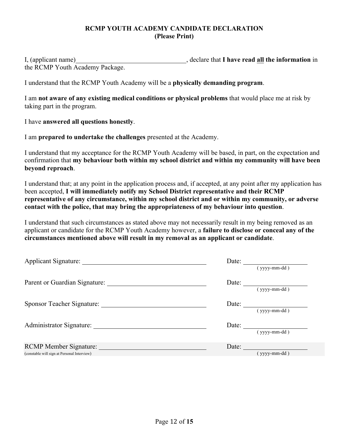#### **RCMP YOUTH ACADEMY CANDIDATE DECLARATION (Please Print)**

I, declare that **I have read all the information** in the RCMP Youth Academy Package.

I understand that the RCMP Youth Academy will be a **physically demanding program**.

I am **not aware of any existing medical conditions or physical problems** that would place me at risk by taking part in the program.

I have **answered all questions honestly**.

I am **prepared to undertake the challenges** presented at the Academy.

I understand that my acceptance for the RCMP Youth Academy will be based, in part, on the expectation and confirmation that **my behaviour both within my school district and within my community will have been beyond reproach**.

I understand that; at any point in the application process and, if accepted, at any point after my application has been accepted, **I will immediately notify my School District representative and their RCMP representative of any circumstance, within my school district and or within my community, or adverse contact with the police, that may bring the appropriateness of my behaviour into question**.

I understand that such circumstances as stated above may not necessarily result in my being removed as an applicant or candidate for the RCMP Youth Academy however, a **failure to disclose or conceal any of the circumstances mentioned above will result in my removal as an applicant or candidate**.

| Applicant Signature:                        | Date: $\qquad \qquad \qquad$ |
|---------------------------------------------|------------------------------|
|                                             | $(yyyy-mm-dd)$               |
| Parent or Guardian Signature:               | Date: $\qquad \qquad$        |
|                                             | $(yyyymm-dd)$                |
|                                             | Date: $\qquad \qquad$        |
|                                             | $(yyyymm-dd)$                |
| Administrator Signature: New York 1989      | Date: $\qquad \qquad$        |
|                                             | $(yyyy-mm-dd)$               |
|                                             | Date:                        |
| (constable will sign at Personal Interview) | (vyyy-mm-dd)                 |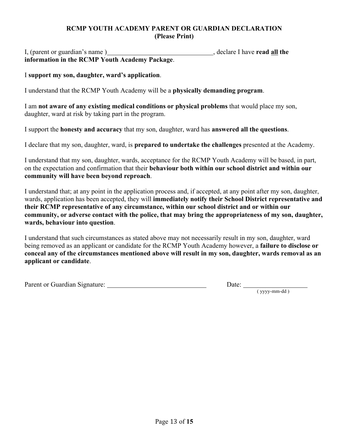### **RCMP YOUTH ACADEMY PARENT OR GUARDIAN DECLARATION (Please Print)**

I, (parent or guardian's name ) have **latter as a set of the set of the set of the set of the set of the set of the set of the set of the set of the set of the set of the set of the set of the set of the set of the set of information in the RCMP Youth Academy Package**.

#### I **support my son, daughter, ward's application**.

I understand that the RCMP Youth Academy will be a **physically demanding program**.

I am **not aware of any existing medical conditions or physical problems** that would place my son, daughter, ward at risk by taking part in the program.

I support the **honesty and accuracy** that my son, daughter, ward has **answered all the questions**.

I declare that my son, daughter, ward, is **prepared to undertake the challenges** presented at the Academy.

I understand that my son, daughter, wards, acceptance for the RCMP Youth Academy will be based, in part, on the expectation and confirmation that their **behaviour both within our school district and within our community will have been beyond reproach**.

I understand that; at any point in the application process and, if accepted, at any point after my son, daughter, wards, application has been accepted, they will **immediately notify their School District representative and their RCMP representative of any circumstance, within our school district and or within our community, or adverse contact with the police, that may bring the appropriateness of my son, daughter, wards, behaviour into question**.

I understand that such circumstances as stated above may not necessarily result in my son, daughter, ward being removed as an applicant or candidate for the RCMP Youth Academy however, a **failure to disclose or conceal any of the circumstances mentioned above will result in my son, daughter, wards removal as an applicant or candidate**.

Parent or Guardian Signature:

Date:  $\frac{y_{yy}-m-1}{y_{yy}-m-1}$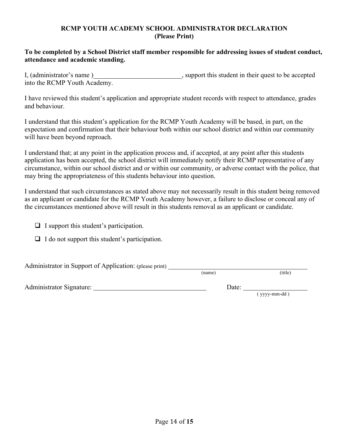#### **RCMP YOUTH ACADEMY SCHOOL ADMINISTRATOR DECLARATION (Please Print)**

#### **To be completed by a School District staff member responsible for addressing issues of student conduct, attendance and academic standing.**

I, (administrator's name) , support this student in their quest to be accepted into the RCMP Youth Academy.

I have reviewed this student's application and appropriate student records with respect to attendance, grades and behaviour.

I understand that this student's application for the RCMP Youth Academy will be based, in part, on the expectation and confirmation that their behaviour both within our school district and within our community will have been beyond reproach.

I understand that; at any point in the application process and, if accepted, at any point after this students application has been accepted, the school district will immediately notify their RCMP representative of any circumstance, within our school district and or within our community, or adverse contact with the police, that may bring the appropriateness of this students behaviour into question.

I understand that such circumstances as stated above may not necessarily result in this student being removed as an applicant or candidate for the RCMP Youth Academy however, a failure to disclose or conceal any of the circumstances mentioned above will result in this students removal as an applicant or candidate.

- $\Box$  I support this student's participation.
- $\Box$  I do not support this student's participation.

| Administrator in Support of Application: (please print) |        |         |
|---------------------------------------------------------|--------|---------|
|                                                         | (name) | (title) |

Administrator Signature: Date: Date: Date: Date: Date: Date: Date: Date: Date: Date: Date: Date: Date: Date: Date: Date: Date: Date: Date: Date: Date: Date: Date: Date: Date: Date: Date: Date: Date: Date: Date: Date: Date:

Date:  $(yyy-mm-dd)$